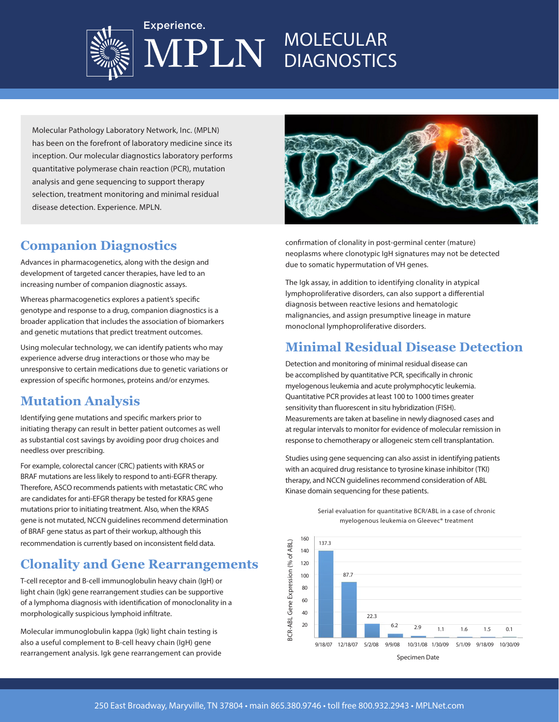

### MOLECULAR PLN **DIAGNOSTICS**

Molecular Pathology Laboratory Network, Inc. (MPLN) has been on the forefront of laboratory medicine since its inception. Our molecular diagnostics laboratory performs quantitative polymerase chain reaction (PCR), mutation analysis and gene sequencing to support therapy selection, treatment monitoring and minimal residual disease detection. Experience. MPLN.

Experience.

## **Companion Diagnostics**

Advances in pharmacogenetics, along with the design and development of targeted cancer therapies, have led to an increasing number of companion diagnostic assays.

Whereas pharmacogenetics explores a patient's specific genotype and response to a drug, companion diagnostics is a broader application that includes the association of biomarkers and genetic mutations that predict treatment outcomes.

Using molecular technology, we can identify patients who may experience adverse drug interactions or those who may be unresponsive to certain medications due to genetic variations or expression of specific hormones, proteins and/or enzymes.

## **Mutation Analysis**

Identifying gene mutations and specific markers prior to initiating therapy can result in better patient outcomes as well as substantial cost savings by avoiding poor drug choices and needless over prescribing.

For example, colorectal cancer (CRC) patients with KRAS or BRAF mutations are less likely to respond to anti-EGFR therapy. Therefore, ASCO recommends patients with metastatic CRC who are candidates for anti-EFGR therapy be tested for KRAS gene mutations prior to initiating treatment. Also, when the KRAS gene is not mutated, NCCN guidelines recommend determination of BRAF gene status as part of their workup, although this recommendation is currently based on inconsistent field data.

## **Clonality and Gene Rearrangements**

T-cell receptor and B-cell immunoglobulin heavy chain (IgH) or light chain (Igk) gene rearrangement studies can be supportive of a lymphoma diagnosis with identification of monoclonality in a morphologically suspicious lymphoid infiltrate.

Molecular immunoglobulin kappa (Igk) light chain testing is also a useful complement to B-cell heavy chain (IgH) gene rearrangement analysis. Igk gene rearrangement can provide



confirmation of clonality in post-germinal center (mature) neoplasms where clonotypic IgH signatures may not be detected due to somatic hypermutation of VH genes.

The Igk assay, in addition to identifying clonality in atypical lymphoproliferative disorders, can also support a differential diagnosis between reactive lesions and hematologic malignancies, and assign presumptive lineage in mature monoclonal lymphoproliferative disorders.

## **Minimal Residual Disease Detection**

Detection and monitoring of minimal residual disease can be accomplished by quantitative PCR, specifically in chronic myelogenous leukemia and acute prolymphocytic leukemia. Quantitative PCR provides at least 100 to 1000 times greater sensitivity than fluorescent in situ hybridization (FISH). Measurements are taken at baseline in newly diagnosed cases and at regular intervals to monitor for evidence of molecular remission in response to chemotherapy or allogeneic stem cell transplantation.

Studies using gene sequencing can also assist in identifying patients with an acquired drug resistance to tyrosine kinase inhibitor (TKI) therapy, and NCCN guidelines recommend consideration of ABL Kinase domain sequencing for these patients.



#### Serial evaluation for quantitative BCR/ABL in a case of chronic myelogenous leukemia on Gleevec® treatment